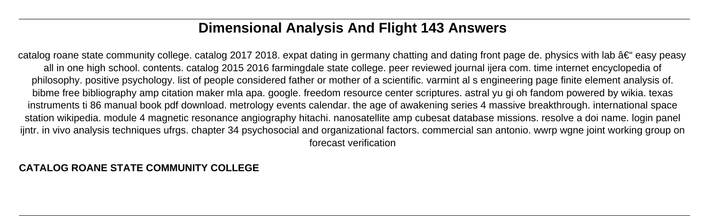# **Dimensional Analysis And Flight 143 Answers**

catalog roane state community college. catalog 2017 2018. expat dating in germany chatting and dating front page de. physics with lab  $\hat{a}\epsilon$  easy peasy all in one high school. contents. catalog 2015 2016 farmingdale state college. peer reviewed journal ijera com. time internet encyclopedia of philosophy. positive psychology. list of people considered father or mother of a scientific. varmint al s engineering page finite element analysis of. bibme free bibliography amp citation maker mla apa. google. freedom resource center scriptures. astral yu gi oh fandom powered by wikia. texas instruments ti 86 manual book pdf download. metrology events calendar. the age of awakening series 4 massive breakthrough. international space station wikipedia. module 4 magnetic resonance angiography hitachi. nanosatellite amp cubesat database missions. resolve a doi name. login panel ijntr. in vivo analysis techniques ufrgs. chapter 34 psychosocial and organizational factors. commercial san antonio. wwrp wgne joint working group on forecast verification

#### **CATALOG ROANE STATE COMMUNITY COLLEGE**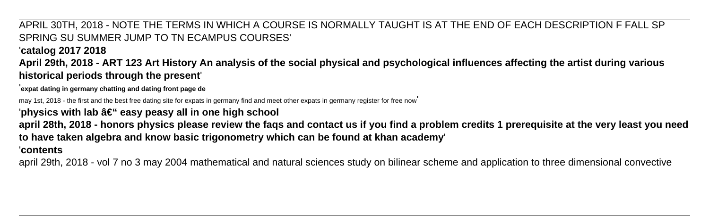### APRIL 30TH, 2018 - NOTE THE TERMS IN WHICH A COURSE IS NORMALLY TAUGHT IS AT THE END OF EACH DESCRIPTION F FALL SP SPRING SU SUMMER JUMP TO TN ECAMPUS COURSES'

#### '**catalog 2017 2018**

**April 29th, 2018 - ART 123 Art History An analysis of the social physical and psychological influences affecting the artist during various historical periods through the present**'

'**expat dating in germany chatting and dating front page de**

may 1st, 2018 - the first and the best free dating site for expats in germany find and meet other expats in germany register for free now'

'physics with lab  $\hat{a} \in \mathcal{C}$  easy peasy all in one high school

**april 28th, 2018 - honors physics please review the faqs and contact us if you find a problem credits 1 prerequisite at the very least you need to have taken algebra and know basic trigonometry which can be found at khan academy**'

#### '**contents**

april 29th, 2018 - vol 7 no 3 may 2004 mathematical and natural sciences study on bilinear scheme and application to three dimensional convective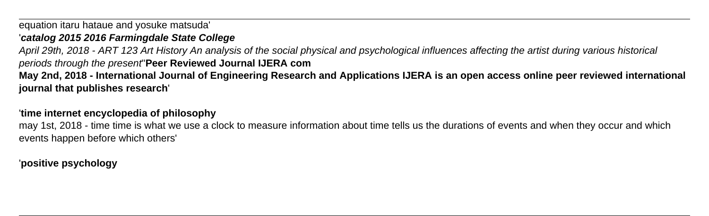equation itaru hataue and yosuke matsuda'

#### '**catalog 2015 2016 Farmingdale State College**

April 29th, 2018 - ART 123 Art History An analysis of the social physical and psychological influences affecting the artist during various historical periods through the present''**Peer Reviewed Journal IJERA com**

**May 2nd, 2018 - International Journal of Engineering Research and Applications IJERA is an open access online peer reviewed international journal that publishes research**'

#### '**time internet encyclopedia of philosophy**

may 1st, 2018 - time time is what we use a clock to measure information about time tells us the durations of events and when they occur and which events happen before which others'

### '**positive psychology**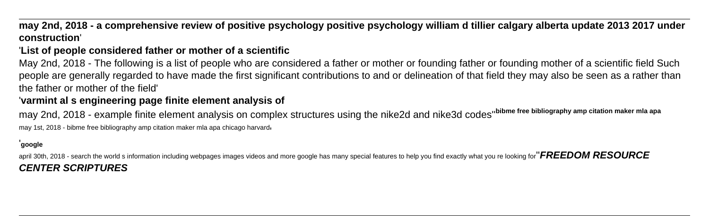### **may 2nd, 2018 - a comprehensive review of positive psychology positive psychology william d tillier calgary alberta update 2013 2017 under construction**'

### '**List of people considered father or mother of a scientific**

May 2nd, 2018 - The following is a list of people who are considered a father or mother or founding father or founding mother of a scientific field Such people are generally regarded to have made the first significant contributions to and or delineation of that field they may also be seen as a rather than the father or mother of the field'

### '**varmint al s engineering page finite element analysis of**

may 2nd, 2018 - example finite element analysis on complex structures using the nike2d and nike3d codes''**bibme free bibliography amp citation maker mla apa** may 1st, 2018 - bibme free bibliography amp citation maker mla apa chicago harvard'

#### '**google**

april 30th, 2018 - search the world s information including webpages images videos and more google has many special features to help you find exactly what you re looking for''**FREEDOM RESOURCE CENTER SCRIPTURES**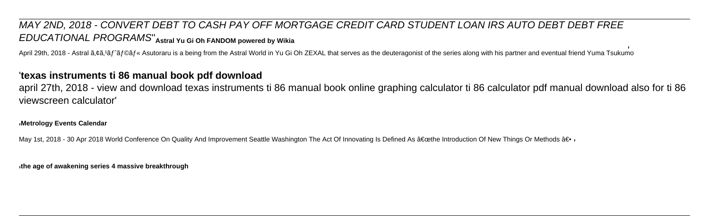## MAY 2ND, 2018 - CONVERT DEBT TO CASH PAY OFF MORTGAGE CREDIT CARD STUDENT LOAN IRS AUTO DEBT DEBT FREE EDUCATIONAL PROGRAMS''**Astral Yu Gi Oh FANDOM powered by Wikia**

April 29th, 2018 - Astral  $\tilde{a}$ ,  $\tilde{a}$ ,  $\tilde{a}$ ,  $\tilde{a}$   $\tilde{f}$   $\tilde{a}$   $\tilde{f}$   $\tilde{a}$ ,  $\tilde{a}$   $\tilde{f}$   $\tilde{a}$ ,  $\tilde{a}$   $\tilde{f}$   $\tilde{a}$ ,  $\tilde{f}$   $\tilde{a}$ ,  $\tilde{f}$   $\tilde{a}$ ,  $\tilde{f}$   $\tilde{a}$ ,  $\tilde{f}$ 

#### '**texas instruments ti 86 manual book pdf download**

april 27th, 2018 - view and download texas instruments ti 86 manual book online graphing calculator ti 86 calculator pdf manual download also for ti 86 viewscreen calculator'

#### '**Metrology Events Calendar**

May 1st, 2018 - 30 Apr 2018 World Conference On Quality And Improvement Seattle Washington The Act Of Innovating Is Defined As "the Introduction Of New Things Or Methods â€...

'**the age of awakening series 4 massive breakthrough**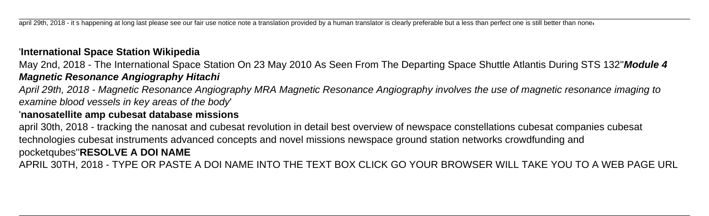april 29th, 2018 - it s happening at long last please see our fair use notice note a translation provided by a human translator is clearly preferable but a less than perfect one is still better than none

#### '**International Space Station Wikipedia**

May 2nd, 2018 - The International Space Station On 23 May 2010 As Seen From The Departing Space Shuttle Atlantis During STS 132''**Module 4 Magnetic Resonance Angiography Hitachi**

April 29th, 2018 - Magnetic Resonance Angiography MRA Magnetic Resonance Angiography involves the use of magnetic resonance imaging to examine blood vessels in key areas of the body'

#### '**nanosatellite amp cubesat database missions**

april 30th, 2018 - tracking the nanosat and cubesat revolution in detail best overview of newspace constellations cubesat companies cubesat technologies cubesat instruments advanced concepts and novel missions newspace ground station networks crowdfunding and pocketqubes''**RESOLVE A DOI NAME** APRIL 30TH, 2018 - TYPE OR PASTE A DOI NAME INTO THE TEXT BOX CLICK GO YOUR BROWSER WILL TAKE YOU TO A WEB PAGE URL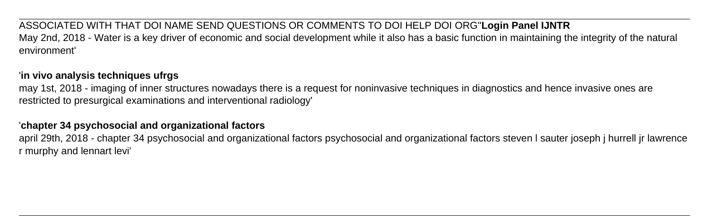ASSOCIATED WITH THAT DOI NAME SEND QUESTIONS OR COMMENTS TO DOI HELP DOI ORG''**Login Panel IJNTR** May 2nd, 2018 - Water is a key driver of economic and social development while it also has a basic function in maintaining the integrity of the natural environment'

### '**in vivo analysis techniques ufrgs**

may 1st, 2018 - imaging of inner structures nowadays there is a request for noninvasive techniques in diagnostics and hence invasive ones are restricted to presurgical examinations and interventional radiology'

#### '**chapter 34 psychosocial and organizational factors**

april 29th, 2018 - chapter 34 psychosocial and organizational factors psychosocial and organizational factors steven l sauter joseph j hurrell jr lawrence r murphy and lennart levi'